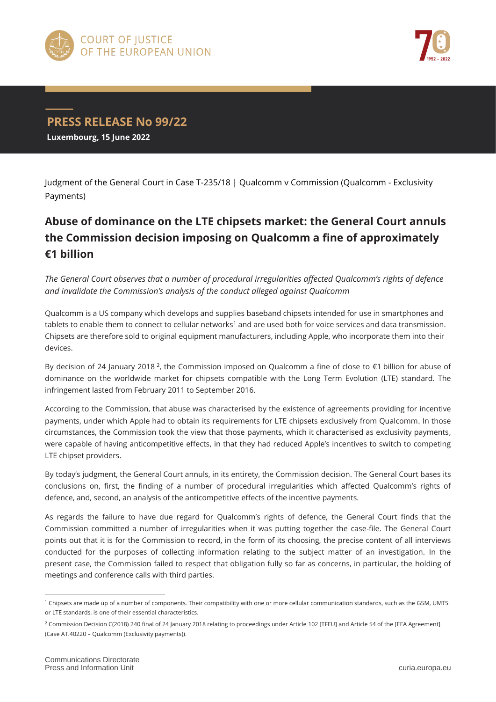



## **PRESS RELEASE No 99/22**

**Luxembourg, 15 June 2022**

Judgment of the General Court in Case T-235/18 | Qualcomm v Commission (Qualcomm - Exclusivity Payments)

## **Abuse of dominance on the LTE chipsets market: the General Court annuls the Commission decision imposing on Qualcomm a fine of approximately €1 billion**

*The General Court observes that a number of procedural irregularities affected Qualcomm's rights of defence and invalidate the Commission's analysis of the conduct alleged against Qualcomm*

Qualcomm is a US company which develops and supplies baseband chipsets intended for use in smartphones and  $t$ ablets to enable them to connect to cellular networks<sup>1</sup> and are used both for voice services and data transmission. Chipsets are therefore sold to original equipment manufacturers, including Apple, who incorporate them into their devices.

By decision of 24 January 2018<sup>2</sup>, the Commission imposed on Qualcomm a fine of close to  $\epsilon$ 1 billion for abuse of dominance on the worldwide market for chipsets compatible with the Long Term Evolution (LTE) standard. The infringement lasted from February 2011 to September 2016.

According to the Commission, that abuse was characterised by the existence of agreements providing for incentive payments, under which Apple had to obtain its requirements for LTE chipsets exclusively from Qualcomm. In those circumstances, the Commission took the view that those payments, which it characterised as exclusivity payments, were capable of having anticompetitive effects, in that they had reduced Apple's incentives to switch to competing LTE chipset providers.

By today's judgment, the General Court annuls, in its entirety, the Commission decision. The General Court bases its conclusions on, first, the finding of a number of procedural irregularities which affected Qualcomm's rights of defence, and, second, an analysis of the anticompetitive effects of the incentive payments.

As regards the failure to have due regard for Qualcomm's rights of defence, the General Court finds that the Commission committed a number of irregularities when it was putting together the case-file. The General Court points out that it is for the Commission to record, in the form of its choosing, the precise content of all interviews conducted for the purposes of collecting information relating to the subject matter of an investigation. In the present case, the Commission failed to respect that obligation fully so far as concerns, in particular, the holding of meetings and conference calls with third parties.

 $\overline{a}$ 

<sup>1</sup> Chipsets are made up of a number of components. Their compatibility with one or more cellular communication standards, such as the GSM, UMTS or LTE standards, is one of their essential characteristics.

<sup>&</sup>lt;sup>2</sup> Commission Decision C(2018) 240 final of 24 January 2018 relating to proceedings under Article 102 [TFEU] and Article 54 of the [EEA Agreement] (Case AT.40220 – Qualcomm (Exclusivity payments)).